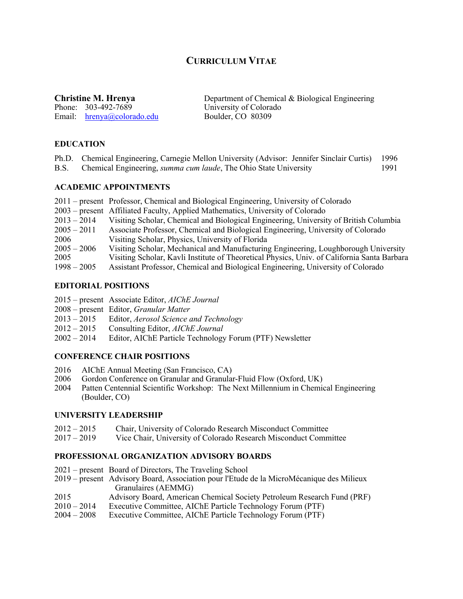# **CURRICULUM VITAE**

Phone: 303-492-7689 University of Colora<br>
Email: hrenya@colorado.edu Boulder, CO 80309 Email:  $hrenya@colorado.edu$ 

**Christine M. Hrenya** Department of Chemical & Biological Engineering<br>Phone: 303-492-7689 University of Colorado

## **EDUCATION**

| Ph.D. Chemical Engineering, Carnegie Mellon University (Advisor: Jennifer Sinclair Curtis)<br>B.S. Chemical Engineering, <i>summa cum laude</i> , The Ohio State University | 1996<br>1991. |
|-----------------------------------------------------------------------------------------------------------------------------------------------------------------------------|---------------|
| <b>ACADEMIC APPOINTMENTS</b>                                                                                                                                                |               |
| 2011 – present Professor, Chemical and Biological Engineering, University of Colorado                                                                                       |               |

- 2003 present Affiliated Faculty, Applied Mathematics, University of Colorado
- 2013 2014 Visiting Scholar, Chemical and Biological Engineering, University of British Columbia
- 2005 2011 Associate Professor, Chemical and Biological Engineering, University of Colorado
- 2006 Visiting Scholar, Physics, University of Florida
- 2005 2006 Visiting Scholar, Mechanical and Manufacturing Engineering, Loughborough University
- 2005 Visiting Scholar, Kavli Institute of Theoretical Physics, Univ. of California Santa Barbara
- 1998 2005 Assistant Professor, Chemical and Biological Engineering, University of Colorado

## **EDITORIAL POSITIONS**

- 2015 present Associate Editor, *AIChE Journal*
- 2008 present Editor, *Granular Matter*
- 2013 2015 Editor, *Aerosol Science and Technology*
- 2012 2015 Consulting Editor, *AIChE Journal*
- 2002 2014 Editor, AIChE Particle Technology Forum (PTF) Newsletter

## **CONFERENCE CHAIR POSITIONS**

- 2016 AIChE Annual Meeting (San Francisco, CA)
- 2006 Gordon Conference on Granular and Granular-Fluid Flow (Oxford, UK)
- 2004 Patten Centennial Scientific Workshop: The Next Millennium in Chemical Engineering (Boulder, CO)

## **UNIVERSITY LEADERSHIP**

- 2012 2015 Chair, University of Colorado Research Misconduct Committee
- 2017 2019 Vice Chair, University of Colorado Research Misconduct Committee

## **PROFESSIONAL ORGANIZATION ADVISORY BOARDS**

- 2021 present Board of Directors, The Traveling School
- 2019 present Advisory Board, Association pour l'Etude de la MicroMécanique des Milieux Granulaires (AEMMG)
- 2015 Advisory Board, American Chemical Society Petroleum Research Fund (PRF)
- 2010 2014 Executive Committee, AIChE Particle Technology Forum (PTF)
- 2004 2008 Executive Committee, AIChE Particle Technology Forum (PTF)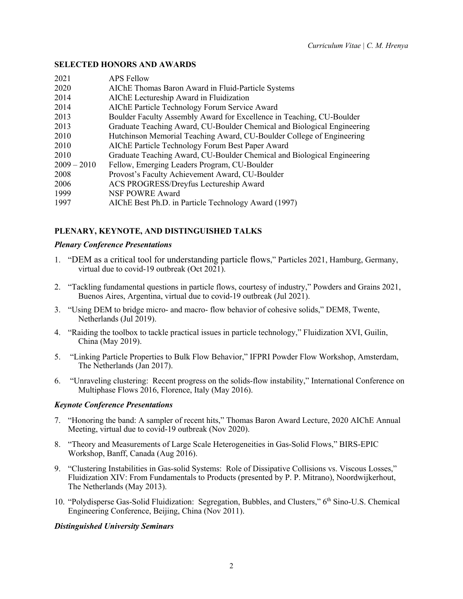## **SELECTED HONORS AND AWARDS**

| 2021          | <b>APS Fellow</b>                                                       |
|---------------|-------------------------------------------------------------------------|
| 2020          | AIChE Thomas Baron Award in Fluid-Particle Systems                      |
| 2014          | AIChE Lectureship Award in Fluidization                                 |
| 2014          | AIChE Particle Technology Forum Service Award                           |
| 2013          | Boulder Faculty Assembly Award for Excellence in Teaching, CU-Boulder   |
| 2013          | Graduate Teaching Award, CU-Boulder Chemical and Biological Engineering |
| 2010          | Hutchinson Memorial Teaching Award, CU-Boulder College of Engineering   |
| 2010          | AIChE Particle Technology Forum Best Paper Award                        |
| 2010          | Graduate Teaching Award, CU-Boulder Chemical and Biological Engineering |
| $2009 - 2010$ | Fellow, Emerging Leaders Program, CU-Boulder                            |
| 2008          | Provost's Faculty Achievement Award, CU-Boulder                         |
| 2006          | ACS PROGRESS/Dreyfus Lectureship Award                                  |
| 1999          | NSF POWRE Award                                                         |
| 1997          | AIChE Best Ph.D. in Particle Technology Award (1997)                    |

## **PLENARY, KEYNOTE, AND DISTINGUISHED TALKS**

## *Plenary Conference Presentations*

- 1. "DEM as a critical tool for understanding particle flows," Particles 2021, Hamburg, Germany, virtual due to covid-19 outbreak (Oct 2021).
- 2. "Tackling fundamental questions in particle flows, courtesy of industry," Powders and Grains 2021, Buenos Aires, Argentina, virtual due to covid-19 outbreak (Jul 2021).
- 3. "Using DEM to bridge micro- and macro- flow behavior of cohesive solids," DEM8, Twente, Netherlands (Jul 2019).
- 4. "Raiding the toolbox to tackle practical issues in particle technology," Fluidization XVI, Guilin, China (May 2019).
- 5. "Linking Particle Properties to Bulk Flow Behavior," IFPRI Powder Flow Workshop, Amsterdam, The Netherlands (Jan 2017).
- 6. "Unraveling clustering: Recent progress on the solids-flow instability," International Conference on Multiphase Flows 2016, Florence, Italy (May 2016).

## *Keynote Conference Presentations*

- 7. "Honoring the band: A sampler of recent hits," Thomas Baron Award Lecture, 2020 AIChE Annual Meeting, virtual due to covid-19 outbreak (Nov 2020).
- 8. "Theory and Measurements of Large Scale Heterogeneities in Gas-Solid Flows," BIRS-EPIC Workshop, Banff, Canada (Aug 2016).
- 9. "Clustering Instabilities in Gas-solid Systems: Role of Dissipative Collisions vs. Viscous Losses," Fluidization XIV: From Fundamentals to Products (presented by P. P. Mitrano), Noordwijkerhout, The Netherlands (May 2013).
- 10. "Polydisperse Gas-Solid Fluidization: Segregation, Bubbles, and Clusters," 6th Sino-U.S. Chemical Engineering Conference, Beijing, China (Nov 2011).

## *Distinguished University Seminars*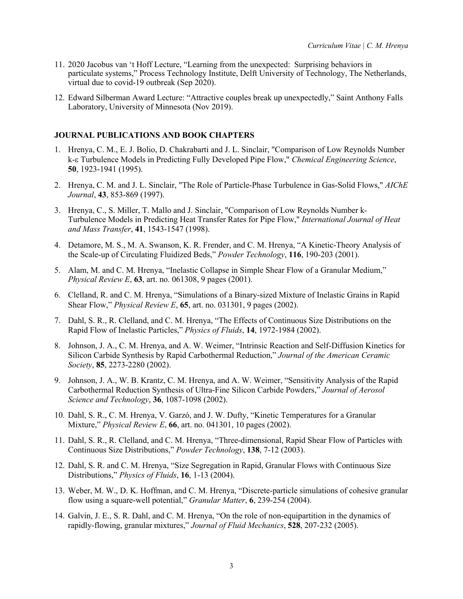- 11. 2020 Jacobus van 't Hoff Lecture, "Learning from the unexpected: Surprising behaviors in particulate systems," Process Technology Institute, Delft University of Technology, The Netherlands, virtual due to covid-19 outbreak (Sep 2020).
- 12. Edward Silberman Award Lecture: "Attractive couples break up unexpectedly," Saint Anthony Falls Laboratory, University of Minnesota (Nov 2019).

## **JOURNAL PUBLICATIONS AND BOOK CHAPTERS**

- 1. Hrenya, C. M., E. J. Bolio, D. Chakrabarti and J. L. Sinclair, "Comparison of Low Reynolds Number k-e Turbulence Models in Predicting Fully Developed Pipe Flow," *Chemical Engineering Science*, **50**, 1923-1941 (1995).
- 2. Hrenya, C. M. and J. L. Sinclair, "The Role of Particle-Phase Turbulence in Gas-Solid Flows," *AIChE Journal*, **43**, 853-869 (1997).
- 3. Hrenya, C., S. Miller, T. Mallo and J. Sinclair, "Comparison of Low Reynolds Number k- Turbulence Models in Predicting Heat Transfer Rates for Pipe Flow," *International Journal of Heat and Mass Transfer*, **41**, 1543-1547 (1998).
- 4. Detamore, M. S., M. A. Swanson, K. R. Frender, and C. M. Hrenya, "A Kinetic-Theory Analysis of the Scale-up of Circulating Fluidized Beds," *Powder Technology*, **116**, 190-203 (2001).
- 5. Alam, M. and C. M. Hrenya, "Inelastic Collapse in Simple Shear Flow of a Granular Medium," *Physical Review E*, **63**, art. no. 061308, 9 pages (2001).
- 6. Clelland, R. and C. M. Hrenya, "Simulations of a Binary-sized Mixture of Inelastic Grains in Rapid Shear Flow," *Physical Review E*, **65**, art. no. 031301, 9 pages (2002).
- 7. Dahl, S. R., R. Clelland, and C. M. Hrenya, "The Effects of Continuous Size Distributions on the Rapid Flow of Inelastic Particles," *Physics of Fluids*, **14**, 1972-1984 (2002).
- 8. Johnson, J. A., C. M. Hrenya, and A. W. Weimer, "Intrinsic Reaction and Self-Diffusion Kinetics for Silicon Carbide Synthesis by Rapid Carbothermal Reduction," *Journal of the American Ceramic Society*, **85**, 2273-2280 (2002).
- 9. Johnson, J. A., W. B. Krantz, C. M. Hrenya, and A. W. Weimer, "Sensitivity Analysis of the Rapid Carbothermal Reduction Synthesis of Ultra-Fine Silicon Carbide Powders," *Journal of Aerosol Science and Technology*, **36**, 1087-1098 (2002).
- 10. Dahl, S. R., C. M. Hrenya, V. Garzó, and J. W. Dufty, "Kinetic Temperatures for a Granular Mixture," *Physical Review E*, **66**, art. no. 041301, 10 pages (2002).
- 11. Dahl, S. R., R. Clelland, and C. M. Hrenya, "Three-dimensional, Rapid Shear Flow of Particles with Continuous Size Distributions," *Powder Technology*, **138**, 7-12 (2003).
- 12. Dahl, S. R. and C. M. Hrenya, "Size Segregation in Rapid, Granular Flows with Continuous Size Distributions," *Physics of Fluids*, **16**, 1-13 (2004).
- 13. Weber, M. W., D. K. Hoffman, and C. M. Hrenya, "Discrete-particle simulations of cohesive granular flow using a square-well potential," *Granular Matter*, **6**, 239-254 (2004).
- 14. Galvin, J. E., S. R. Dahl, and C. M. Hrenya, "On the role of non-equipartition in the dynamics of rapidly-flowing, granular mixtures," *Journal of Fluid Mechanics*, **528**, 207-232 (2005).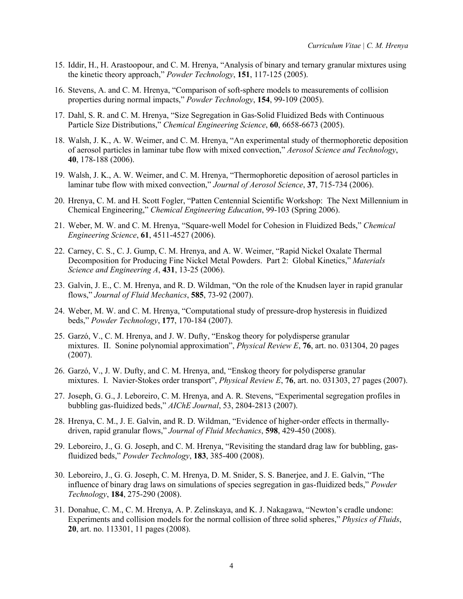- 15. Iddir, H., H. Arastoopour, and C. M. Hrenya, "Analysis of binary and ternary granular mixtures using the kinetic theory approach," *Powder Technology*, **151**, 117-125 (2005).
- 16. Stevens, A. and C. M. Hrenya, "Comparison of soft-sphere models to measurements of collision properties during normal impacts," *Powder Technology*, **154**, 99-109 (2005).
- 17. Dahl, S. R. and C. M. Hrenya, "Size Segregation in Gas-Solid Fluidized Beds with Continuous Particle Size Distributions," *Chemical Engineering Science*, **60**, 6658-6673 (2005).
- 18. Walsh, J. K., A. W. Weimer, and C. M. Hrenya, "An experimental study of thermophoretic deposition of aerosol particles in laminar tube flow with mixed convection," *Aerosol Science and Technology*, **40**, 178-188 (2006).
- 19. Walsh, J. K., A. W. Weimer, and C. M. Hrenya, "Thermophoretic deposition of aerosol particles in laminar tube flow with mixed convection," *Journal of Aerosol Science*, **37**, 715-734 (2006).
- 20. Hrenya, C. M. and H. Scott Fogler, "Patten Centennial Scientific Workshop: The Next Millennium in Chemical Engineering," *Chemical Engineering Education*, 99-103 (Spring 2006).
- 21. Weber, M. W. and C. M. Hrenya, "Square-well Model for Cohesion in Fluidized Beds," *Chemical Engineering Science*, **61**, 4511-4527 (2006).
- 22. Carney, C. S., C. J. Gump, C. M. Hrenya, and A. W. Weimer, "Rapid Nickel Oxalate Thermal Decomposition for Producing Fine Nickel Metal Powders. Part 2: Global Kinetics," *Materials Science and Engineering A*, **431**, 13-25 (2006).
- 23. Galvin, J. E., C. M. Hrenya, and R. D. Wildman, "On the role of the Knudsen layer in rapid granular flows," *Journal of Fluid Mechanics*, **585**, 73-92 (2007).
- 24. Weber, M. W. and C. M. Hrenya, "Computational study of pressure-drop hysteresis in fluidized beds," *Powder Technology*, **177**, 170-184 (2007).
- 25. Garzó, V., C. M. Hrenya, and J. W. Dufty, "Enskog theory for polydisperse granular mixtures. II. Sonine polynomial approximation", *Physical Review E*, **76**, art. no. 031304, 20 pages (2007).
- 26. Garzó, V., J. W. Dufty, and C. M. Hrenya, and, "Enskog theory for polydisperse granular mixtures. I. Navier-Stokes order transport", *Physical Review E*, **76**, art. no. 031303, 27 pages (2007).
- 27. Joseph, G. G., J. Leboreiro, C. M. Hrenya, and A. R. Stevens, "Experimental segregation profiles in bubbling gas-fluidized beds," *AIChE Journal*, 53, 2804-2813 (2007).
- 28. Hrenya, C. M., J. E. Galvin, and R. D. Wildman, "Evidence of higher-order effects in thermallydriven, rapid granular flows," *Journal of Fluid Mechanics*, **598**, 429-450 (2008).
- 29. Leboreiro, J., G. G. Joseph, and C. M. Hrenya, "Revisiting the standard drag law for bubbling, gasfluidized beds," *Powder Technology*, **183**, 385-400 (2008).
- 30. Leboreiro, J., G. G. Joseph, C. M. Hrenya, D. M. Snider, S. S. Banerjee, and J. E. Galvin, "The influence of binary drag laws on simulations of species segregation in gas-fluidized beds," *Powder Technology*, **184**, 275-290 (2008).
- 31. Donahue, C. M., C. M. Hrenya, A. P. Zelinskaya, and K. J. Nakagawa, "Newton's cradle undone: Experiments and collision models for the normal collision of three solid spheres," *Physics of Fluids*, **20**, art. no. 113301, 11 pages (2008).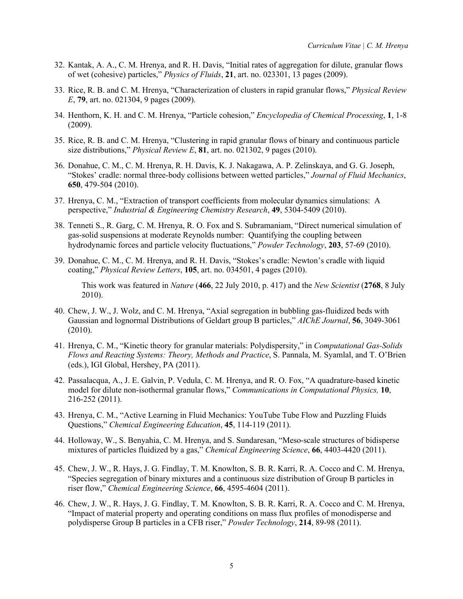- 32. Kantak, A. A., C. M. Hrenya, and R. H. Davis, "Initial rates of aggregation for dilute, granular flows of wet (cohesive) particles," *Physics of Fluids*, **21**, art. no. 023301, 13 pages (2009).
- 33. Rice, R. B. and C. M. Hrenya, "Characterization of clusters in rapid granular flows," *Physical Review E*, **79**, art. no. 021304, 9 pages (2009).
- 34. Henthorn, K. H. and C. M. Hrenya, "Particle cohesion," *Encyclopedia of Chemical Processing*, **1**, 1-8 (2009).
- 35. Rice, R. B. and C. M. Hrenya, "Clustering in rapid granular flows of binary and continuous particle size distributions," *Physical Review E*, **81**, art. no. 021302, 9 pages (2010).
- 36. Donahue, C. M., C. M. Hrenya, R. H. Davis, K. J. Nakagawa, A. P. Zelinskaya, and G. G. Joseph, "Stokes' cradle: normal three-body collisions between wetted particles," *Journal of Fluid Mechanics*, **650**, 479-504 (2010).
- 37. Hrenya, C. M., "Extraction of transport coefficients from molecular dynamics simulations: A perspective," *Industrial & Engineering Chemistry Research*, **49**, 5304-5409 (2010).
- 38. Tenneti S., R. Garg, C. M. Hrenya, R. O. Fox and S. Subramaniam, "Direct numerical simulation of gas-solid suspensions at moderate Reynolds number: Quantifying the coupling between hydrodynamic forces and particle velocity fluctuations," *Powder Technology*, **203**, 57-69 (2010).
- 39. Donahue, C. M., C. M. Hrenya, and R. H. Davis, "Stokes's cradle: Newton's cradle with liquid coating," *Physical Review Letters*, **105**, art. no. 034501, 4 pages (2010).

This work was featured in *Nature* (**466**, 22 July 2010, p. 417) and the *New Scientist* (**2768**, 8 July 2010).

- 40. Chew, J. W., J. Wolz, and C. M. Hrenya, "Axial segregation in bubbling gas-fluidized beds with Gaussian and lognormal Distributions of Geldart group B particles," *AIChE Journal*, **56**, 3049-3061 (2010).
- 41. Hrenya, C. M., "Kinetic theory for granular materials: Polydispersity," in *Computational Gas-Solids Flows and Reacting Systems: Theory, Methods and Practice*, S. Pannala, M. Syamlal, and T. O'Brien (eds.), IGI Global, Hershey, PA (2011).
- 42. Passalacqua, A., J. E. Galvin, P. Vedula, C. M. Hrenya, and R. O. Fox, "A quadrature-based kinetic model for dilute non-isothermal granular flows," *Communications in Computational Physics,* **10**, 216-252 (2011).
- 43. Hrenya, C. M., "Active Learning in Fluid Mechanics: YouTube Tube Flow and Puzzling Fluids Questions," *Chemical Engineering Education*, **45**, 114-119 (2011).
- 44. Holloway, W., S. Benyahia, C. M. Hrenya, and S. Sundaresan, "Meso-scale structures of bidisperse mixtures of particles fluidized by a gas," *Chemical Engineering Science*, **66**, 4403-4420 (2011).
- 45. Chew, J. W., R. Hays, J. G. Findlay, T. M. Knowlton, S. B. R. Karri, R. A. Cocco and C. M. Hrenya, "Species segregation of binary mixtures and a continuous size distribution of Group B particles in riser flow," *Chemical Engineering Science*, **66**, 4595-4604 (2011).
- 46. Chew, J. W., R. Hays, J. G. Findlay, T. M. Knowlton, S. B. R. Karri, R. A. Cocco and C. M. Hrenya, "Impact of material property and operating conditions on mass flux profiles of monodisperse and polydisperse Group B particles in a CFB riser," *Powder Technology*, **214**, 89-98 (2011).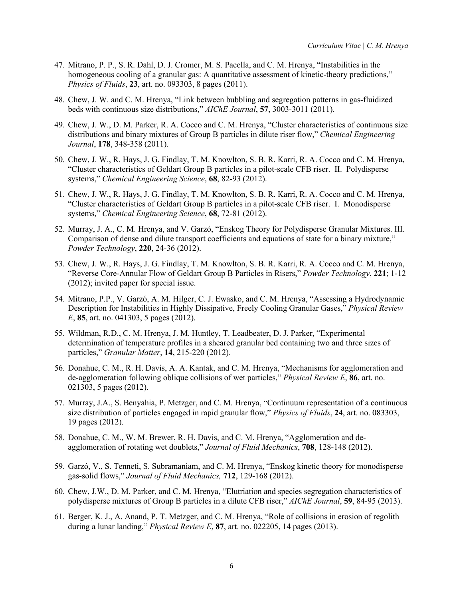- 47. Mitrano, P. P., S. R. Dahl, D. J. Cromer, M. S. Pacella, and C. M. Hrenya, "Instabilities in the homogeneous cooling of a granular gas: A quantitative assessment of kinetic-theory predictions," *Physics of Fluids*, **23**, art. no. 093303, 8 pages (2011).
- 48. Chew, J. W. and C. M. Hrenya, "Link between bubbling and segregation patterns in gas-fluidized beds with continuous size distributions," *AIChE Journal*, **57**, 3003-3011 (2011).
- 49. Chew, J. W., D. M. Parker, R. A. Cocco and C. M. Hrenya, "Cluster characteristics of continuous size distributions and binary mixtures of Group B particles in dilute riser flow," *Chemical Engineering Journal*, **178**, 348-358 (2011).
- 50. Chew, J. W., R. Hays, J. G. Findlay, T. M. Knowlton, S. B. R. Karri, R. A. Cocco and C. M. Hrenya, "Cluster characteristics of Geldart Group B particles in a pilot-scale CFB riser. II. Polydisperse systems," *Chemical Engineering Science*, **68**, 82-93 (2012).
- 51. Chew, J. W., R. Hays, J. G. Findlay, T. M. Knowlton, S. B. R. Karri, R. A. Cocco and C. M. Hrenya, "Cluster characteristics of Geldart Group B particles in a pilot-scale CFB riser. I. Monodisperse systems," *Chemical Engineering Science*, **68**, 72-81 (2012).
- 52. Murray, J. A., C. M. Hrenya, and V. Garzó, "Enskog Theory for Polydisperse Granular Mixtures. III. Comparison of dense and dilute transport coefficients and equations of state for a binary mixture," *Powder Technology*, **220**, 24-36 (2012).
- 53. Chew, J. W., R. Hays, J. G. Findlay, T. M. Knowlton, S. B. R. Karri, R. A. Cocco and C. M. Hrenya, "Reverse Core-Annular Flow of Geldart Group B Particles in Risers," *Powder Technology*, **221**; 1-12 (2012); invited paper for special issue.
- 54. Mitrano, P.P., V. Garzó, A. M. Hilger, C. J. Ewasko, and C. M. Hrenya, "Assessing a Hydrodynamic Description for Instabilities in Highly Dissipative, Freely Cooling Granular Gases," *Physical Review E*, **85**, art. no. 041303, 5 pages (2012).
- 55. Wildman, R.D., C. M. Hrenya, J. M. Huntley, T. Leadbeater, D. J. Parker, "Experimental determination of temperature profiles in a sheared granular bed containing two and three sizes of particles," *Granular Matter*, **14**, 215-220 (2012).
- 56. Donahue, C. M., R. H. Davis, A. A. Kantak, and C. M. Hrenya, "Mechanisms for agglomeration and de-agglomeration following oblique collisions of wet particles," *Physical Review E*, **86**, art. no. 021303, 5 pages (2012).
- 57. Murray, J.A., S. Benyahia, P. Metzger, and C. M. Hrenya, "Continuum representation of a continuous size distribution of particles engaged in rapid granular flow," *Physics of Fluids*, **24**, art. no. 083303, 19 pages (2012).
- 58. Donahue, C. M., W. M. Brewer, R. H. Davis, and C. M. Hrenya, "Agglomeration and deagglomeration of rotating wet doublets," *Journal of Fluid Mechanics*, **708**, 128-148 (2012).
- 59. Garzó, V., S. Tenneti, S. Subramaniam, and C. M. Hrenya, "Enskog kinetic theory for monodisperse gas-solid flows," *Journal of Fluid Mechanics,* **712**, 129-168 (2012).
- 60. Chew, J.W., D. M. Parker, and C. M. Hrenya, "Elutriation and species segregation characteristics of polydisperse mixtures of Group B particles in a dilute CFB riser," *AIChE Journal*, **59**, 84-95 (2013).
- 61. Berger, K. J., A. Anand, P. T. Metzger, and C. M. Hrenya, "Role of collisions in erosion of regolith during a lunar landing," *Physical Review E*, **87**, art. no. 022205, 14 pages (2013).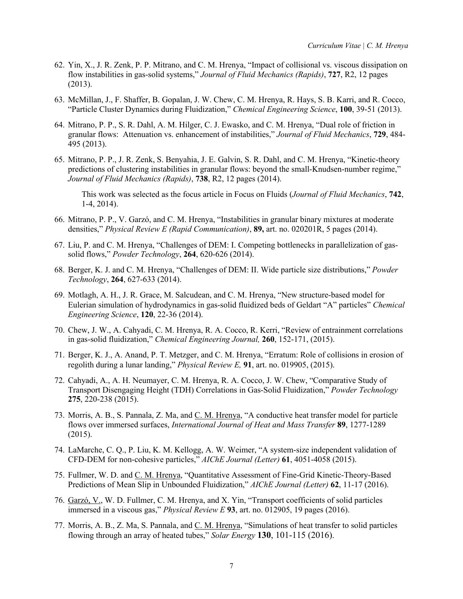- 62. Yin, X., J. R. Zenk, P. P. Mitrano, and C. M. Hrenya, "Impact of collisional vs. viscous dissipation on flow instabilities in gas-solid systems," *Journal of Fluid Mechanics (Rapids)*, **727**, R2, 12 pages (2013).
- 63. McMillan, J., F. Shaffer, B. Gopalan, J. W. Chew, C. M. Hrenya, R. Hays, S. B. Karri, and R. Cocco, "Particle Cluster Dynamics during Fluidization," *Chemical Engineering Science*, **100**, 39-51 (2013).
- 64. Mitrano, P. P., S. R. Dahl, A. M. Hilger, C. J. Ewasko, and C. M. Hrenya, "Dual role of friction in granular flows: Attenuation vs. enhancement of instabilities," *Journal of Fluid Mechanics*, **729**, 484- 495 (2013).
- 65. Mitrano, P. P., J. R. Zenk, S. Benyahia, J. E. Galvin, S. R. Dahl, and C. M. Hrenya, "Kinetic-theory predictions of clustering instabilities in granular flows: beyond the small-Knudsen-number regime," *Journal of Fluid Mechanics (Rapids)*, **738**, R2, 12 pages (2014).

This work was selected as the focus article in Focus on Fluids (*Journal of Fluid Mechanics*, **742**, 1-4, 2014).

- 66. Mitrano, P. P., V. Garzó, and C. M. Hrenya, "Instabilities in granular binary mixtures at moderate densities," *Physical Review E (Rapid Communication)*, **89,** art. no. 020201R, 5 pages (2014).
- 67. Liu, P. and C. M. Hrenya, "Challenges of DEM: I. Competing bottlenecks in parallelization of gassolid flows," *Powder Technology*, **264**, 620-626 (2014).
- 68. Berger, K. J. and C. M. Hrenya, "Challenges of DEM: II. Wide particle size distributions," *Powder Technology*, **264**, 627-633 (2014).
- 69. Motlagh, A. H., J. R. Grace, M. Salcudean, and C. M. Hrenya, "New structure-based model for Eulerian simulation of hydrodynamics in gas-solid fluidized beds of Geldart "A" particles" *Chemical Engineering Science*, **120**, 22-36 (2014).
- 70. Chew, J. W., A. Cahyadi, C. M. Hrenya, R. A. Cocco, R. Kerri, "Review of entrainment correlations in gas-solid fluidization," *Chemical Engineering Journal,* **260**, 152-171, (2015).
- 71. Berger, K. J., A. Anand, P. T. Metzger, and C. M. Hrenya, "Erratum: Role of collisions in erosion of regolith during a lunar landing," *Physical Review E,* **91**, art. no. 019905, (2015).
- 72. Cahyadi, A., A. H. Neumayer, C. M. Hrenya, R. A. Cocco, J. W. Chew, "Comparative Study of Transport Disengaging Height (TDH) Correlations in Gas-Solid Fluidization," *Powder Technology* **275**, 220-238 (2015).
- 73. Morris, A. B., S. Pannala, Z. Ma, and C. M. Hrenya, "A conductive heat transfer model for particle flows over immersed surfaces, *International Journal of Heat and Mass Transfer* **89**, 1277-1289 (2015).
- 74. LaMarche, C. Q., P. Liu, K. M. Kellogg, A. W. Weimer, "A system-size independent validation of CFD-DEM for non-cohesive particles," *AIChE Journal (Letter)* **61**, 4051-4058 (2015).
- 75. Fullmer, W. D. and C. M. Hrenya, "Quantitative Assessment of Fine-Grid Kinetic-Theory-Based Predictions of Mean Slip in Unbounded Fluidization," *AIChE Journal (Letter)* **62**, 11-17 (2016).
- 76. Garzó, V., W. D. Fullmer, C. M. Hrenya, and X. Yin, "Transport coefficients of solid particles immersed in a viscous gas," *Physical Review E* **93**, art. no. 012905, 19 pages (2016).
- 77. Morris, A. B., Z. Ma, S. Pannala, and C. M. Hrenya, "Simulations of heat transfer to solid particles flowing through an array of heated tubes," *Solar Energy* **130**, 101-115 (2016).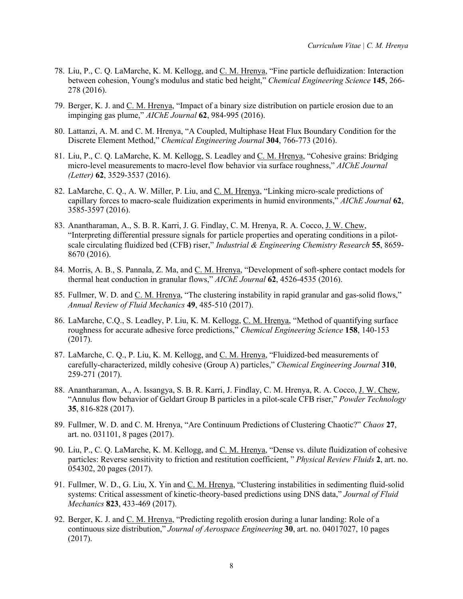- 78. Liu, P., C. Q. LaMarche, K. M. Kellogg, and C. M. Hrenya, "Fine particle defluidization: Interaction between cohesion, Young's modulus and static bed height," *Chemical Engineering Science* **145**, 266- 278 (2016).
- 79. Berger, K. J. and C. M. Hrenya, "Impact of a binary size distribution on particle erosion due to an impinging gas plume," *AIChE Journal* **62**, 984-995 (2016).
- 80. Lattanzi, A. M. and C. M. Hrenya, "A Coupled, Multiphase Heat Flux Boundary Condition for the Discrete Element Method," *Chemical Engineering Journal* **304**, 766-773 (2016).
- 81. Liu, P., C. Q. LaMarche, K. M. Kellogg, S. Leadley and C. M. Hrenya, "Cohesive grains: Bridging micro-level measurements to macro-level flow behavior via surface roughness," *AIChE Journal (Letter)* **62**, 3529-3537 (2016).
- 82. LaMarche, C. Q., A. W. Miller, P. Liu, and C. M. Hrenya, "Linking micro-scale predictions of capillary forces to macro-scale fluidization experiments in humid environments," *AIChE Journal* **62**, 3585-3597 (2016).
- 83. Anantharaman, A., S. B. R. Karri, J. G. Findlay, C. M. Hrenya, R. A. Cocco, J. W. Chew, "Interpreting differential pressure signals for particle properties and operating conditions in a pilotscale circulating fluidized bed (CFB) riser," *Industrial & Engineering Chemistry Research* **55**, 8659- 8670 (2016).
- 84. Morris, A. B., S. Pannala, Z. Ma, and C. M. Hrenya, "Development of soft-sphere contact models for thermal heat conduction in granular flows," *AIChE Journal* **62**, 4526-4535 (2016).
- 85. Fullmer, W. D. and C. M. Hrenya, "The clustering instability in rapid granular and gas-solid flows," *Annual Review of Fluid Mechanics* **49**, 485-510 (2017).
- 86. LaMarche, C.Q., S. Leadley, P. Liu, K. M. Kellogg, C. M. Hrenya, "Method of quantifying surface roughness for accurate adhesive force predictions," *Chemical Engineering Science* **158**, 140-153 (2017).
- 87. LaMarche, C. Q., P. Liu, K. M. Kellogg, and C. M. Hrenya, "Fluidized-bed measurements of carefully-characterized, mildly cohesive (Group A) particles," *Chemical Engineering Journal* **310**, 259-271 (2017).
- 88. Anantharaman, A., A. Issangya, S. B. R. Karri, J. Findlay, C. M. Hrenya, R. A. Cocco, J. W. Chew, "Annulus flow behavior of Geldart Group B particles in a pilot-scale CFB riser," *Powder Technology*  **35**, 816-828 (2017).
- 89. Fullmer, W. D. and C. M. Hrenya, "Are Continuum Predictions of Clustering Chaotic?" *Chaos* **27**, art. no. 031101, 8 pages (2017).
- 90. Liu, P., C. Q. LaMarche, K. M. Kellogg, and C. M. Hrenya, "Dense vs. dilute fluidization of cohesive particles: Reverse sensitivity to friction and restitution coefficient, " *Physical Review Fluids* **2**, art. no. 054302, 20 pages (2017).
- 91. Fullmer, W. D., G. Liu, X. Yin and C. M. Hrenya, "Clustering instabilities in sedimenting fluid-solid systems: Critical assessment of kinetic-theory-based predictions using DNS data," *Journal of Fluid Mechanics* **823**, 433-469 (2017).
- 92. Berger, K. J. and C. M. Hrenya, "Predicting regolith erosion during a lunar landing: Role of a continuous size distribution," *Journal of Aerospace Engineering* **30**, art. no. 04017027, 10 pages (2017).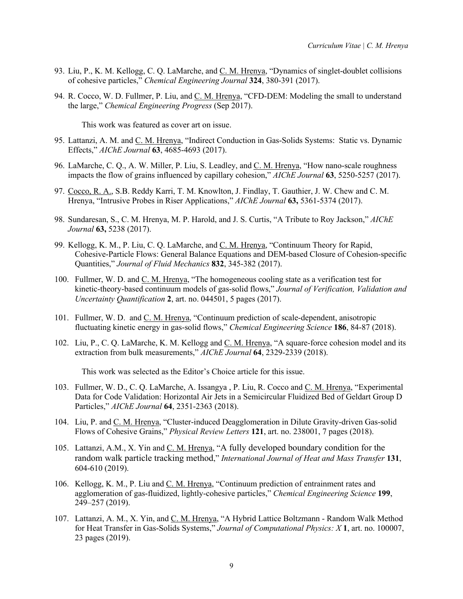- 93. Liu, P., K. M. Kellogg, C. Q. LaMarche, and C. M. Hrenya, "Dynamics of singlet-doublet collisions of cohesive particles," *Chemical Engineering Journal* **324**, 380-391 (2017).
- 94. R. Cocco, W. D. Fullmer, P. Liu, and C. M. Hrenya, "CFD-DEM: Modeling the small to understand the large," *Chemical Engineering Progress* (Sep 2017).

This work was featured as cover art on issue.

- 95. Lattanzi, A. M. and C. M. Hrenya, "Indirect Conduction in Gas-Solids Systems: Static vs. Dynamic Effects," *AIChE Journal* **63**, 4685-4693 (2017).
- 96. LaMarche, C. Q., A. W. Miller, P. Liu, S. Leadley, and C. M. Hrenya, "How nano-scale roughness impacts the flow of grains influenced by capillary cohesion," *AIChE Journal* **63**, 5250-5257 (2017).
- 97. Cocco, R. A., S.B. Reddy Karri, T. M. Knowlton, J. Findlay, T. Gauthier, J. W. Chew and C. M. Hrenya, "Intrusive Probes in Riser Applications," *AIChE Journal* **63,** 5361-5374 (2017).
- 98. Sundaresan, S., C. M. Hrenya, M. P. Harold, and J. S. Curtis, "A Tribute to Roy Jackson," *AIChE Journal* **63,** 5238 (2017).
- 99. Kellogg, K. M., P. Liu, C. Q. LaMarche, and C. M. Hrenya, "Continuum Theory for Rapid, Cohesive-Particle Flows: General Balance Equations and DEM-based Closure of Cohesion-specific Quantities," *Journal of Fluid Mechanics* **832**, 345-382 (2017).
- 100. Fullmer, W. D. and C. M. Hrenya, "The homogeneous cooling state as a verification test for kinetic-theory-based continuum models of gas-solid flows," *Journal of Verification, Validation and Uncertainty Quantification* **2**, art. no. 044501, 5 pages (2017).
- 101. Fullmer, W. D. and C. M. Hrenya, "Continuum prediction of scale-dependent, anisotropic fluctuating kinetic energy in gas-solid flows," *Chemical Engineering Science* **186**, 84-87 (2018).
- 102. Liu, P., C. Q. LaMarche, K. M. Kellogg and C. M. Hrenya, "A square-force cohesion model and its extraction from bulk measurements," *AIChE Journal* **64**, 2329-2339 (2018).

This work was selected as the Editor's Choice article for this issue.

- 103. Fullmer, W. D., C. Q. LaMarche, A. Issangya , P. Liu, R. Cocco and C. M. Hrenya, "Experimental Data for Code Validation: Horizontal Air Jets in a Semicircular Fluidized Bed of Geldart Group D Particles," *AIChE Journal* **64**, 2351-2363 (2018).
- 104. Liu, P. and C. M. Hrenya, "Cluster-induced Deagglomeration in Dilute Gravity-driven Gas-solid Flows of Cohesive Grains," *Physical Review Letters* **121**, art. no. 238001, 7 pages (2018).
- 105. Lattanzi, A.M., X. Yin and C. M. Hrenya, "A fully developed boundary condition for the random walk particle tracking method," *International Journal of Heat and Mass Transfer* **131**, 604-610 (2019).
- 106. Kellogg, K. M., P. Liu and C. M. Hrenya, "Continuum prediction of entrainment rates and agglomeration of gas-fluidized, lightly-cohesive particles," *Chemical Engineering Science* **199**, 249–257 (2019).
- 107. Lattanzi, A. M., X. Yin, and C. M. Hrenya, "A Hybrid Lattice Boltzmann Random Walk Method for Heat Transfer in Gas-Solids Systems," *Journal of Computational Physics: X* **1**, art. no. 100007, 23 pages (2019).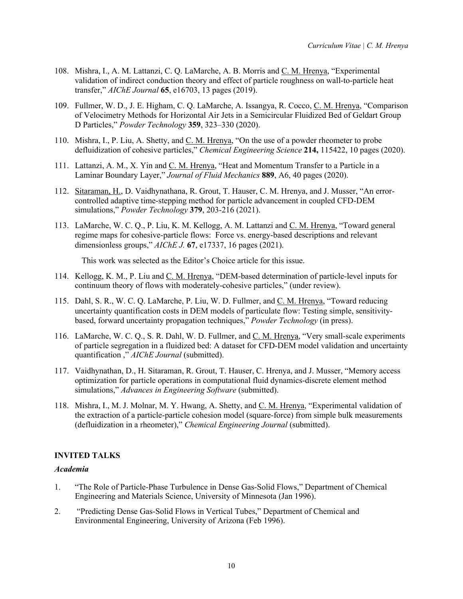- 108. Mishra, I., A. M. Lattanzi, C. Q. LaMarche, A. B. Morris and C. M. Hrenya, "Experimental validation of indirect conduction theory and effect of particle roughness on wall-to-particle heat transfer," *AIChE Journal* **65**, e16703, 13 pages (2019).
- 109. Fullmer, W. D., J. E. Higham, C. Q. LaMarche, A. Issangya, R. Cocco, C. M. Hrenya, "Comparison of Velocimetry Methods for Horizontal Air Jets in a Semicircular Fluidized Bed of Geldart Group D Particles," *Powder Technology* **359**, 323–330 (2020).
- 110. Mishra, I., P. Liu, A. Shetty, and C. M. Hrenya, "On the use of a powder rheometer to probe defluidization of cohesive particles," *Chemical Engineering Science* **214,** 115422, 10 pages (2020).
- 111. Lattanzi, A. M., X. Yin and C. M. Hrenya, "Heat and Momentum Transfer to a Particle in a Laminar Boundary Layer," *Journal of Fluid Mechanics* **889**, A6, 40 pages (2020).
- 112. Sitaraman, H., D. Vaidhynathana, R. Grout, T. Hauser, C. M. Hrenya, and J. Musser, "An errorcontrolled adaptive time-stepping method for particle advancement in coupled CFD-DEM simulations," *Powder Technology* **379**, 203-216 (2021).
- 113. LaMarche, W. C. Q., P. Liu, K. M. Kellogg, A. M. Lattanzi and C. M. Hrenya, "Toward general regime maps for cohesive-particle flows: Force vs. energy-based descriptions and relevant dimensionless groups," *AIChE J.* **67**, e17337, 16 pages (2021).

This work was selected as the Editor's Choice article for this issue.

- 114. Kellogg, K. M., P. Liu and C. M. Hrenya, "DEM-based determination of particle-level inputs for continuum theory of flows with moderately-cohesive particles," (under review).
- 115. Dahl, S. R., W. C. Q. LaMarche, P. Liu, W. D. Fullmer, and C. M. Hrenya, "Toward reducing uncertainty quantification costs in DEM models of particulate flow: Testing simple, sensitivitybased, forward uncertainty propagation techniques," *Powder Technology* (in press).
- 116. LaMarche, W. C. Q., S. R. Dahl, W. D. Fullmer, and C. M. Hrenya, "Very small-scale experiments of particle segregation in a fluidized bed: A dataset for CFD-DEM model validation and uncertainty quantification ," **AIChE** Journal (submitted).
- 117. Vaidhynathan, D., H. Sitaraman, R. Grout, T. Hauser, C. Hrenya, and J. Musser, "Memory access optimization for particle operations in computational fluid dynamics-discrete element method simulations," *Advances in Engineering Software* (submitted).
- 118. Mishra, I., M. J. Molnar, M. Y. Hwang, A. Shetty, and C. M. Hrenya, "Experimental validation of the extraction of a particle-particle cohesion model (square-force) from simple bulk measurements (defluidization in a rheometer)," *Chemical Engineering Journal* (submitted).

## **INVITED TALKS**

#### *Academia*

- 1. "The Role of Particle-Phase Turbulence in Dense Gas-Solid Flows," Department of Chemical Engineering and Materials Science, University of Minnesota (Jan 1996).
- 2. "Predicting Dense Gas-Solid Flows in Vertical Tubes," Department of Chemical and Environmental Engineering, University of Arizona (Feb 1996).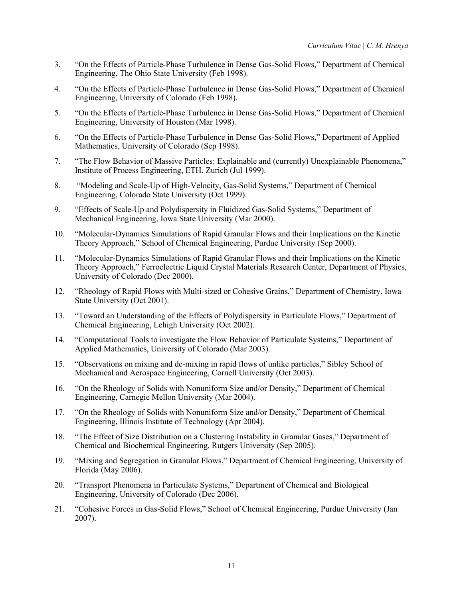- 3. "On the Effects of Particle-Phase Turbulence in Dense Gas-Solid Flows," Department of Chemical Engineering, The Ohio State University (Feb 1998).
- 4. "On the Effects of Particle-Phase Turbulence in Dense Gas-Solid Flows," Department of Chemical Engineering, University of Colorado (Feb 1998).
- 5. "On the Effects of Particle-Phase Turbulence in Dense Gas-Solid Flows," Department of Chemical Engineering, University of Houston (Mar 1998).
- 6. "On the Effects of Particle-Phase Turbulence in Dense Gas-Solid Flows," Department of Applied Mathematics, University of Colorado (Sep 1998).
- 7. "The Flow Behavior of Massive Particles: Explainable and (currently) Unexplainable Phenomena," Institute of Process Engineering, ETH, Zurich (Jul 1999).
- 8. "Modeling and Scale-Up of High-Velocity, Gas-Solid Systems," Department of Chemical Engineering, Colorado State University (Oct 1999).
- 9. "Effects of Scale-Up and Polydispersity in Fluidized Gas-Solid Systems," Department of Mechanical Engineering, Iowa State University (Mar 2000).
- 10. "Molecular-Dynamics Simulations of Rapid Granular Flows and their Implications on the Kinetic Theory Approach," School of Chemical Engineering, Purdue University (Sep 2000).
- 11. "Molecular-Dynamics Simulations of Rapid Granular Flows and their Implications on the Kinetic Theory Approach," Ferroelectric Liquid Crystal Materials Research Center, Department of Physics, University of Colorado (Dec 2000).
- 12. "Rheology of Rapid Flows with Multi-sized or Cohesive Grains," Department of Chemistry, Iowa State University (Oct 2001).
- 13. "Toward an Understanding of the Effects of Polydispersity in Particulate Flows," Department of Chemical Engineering, Lehigh University (Oct 2002).
- 14. "Computational Tools to investigate the Flow Behavior of Particulate Systems," Department of Applied Mathematics, University of Colorado (Mar 2003).
- 15. "Observations on mixing and de-mixing in rapid flows of unlike particles," Sibley School of Mechanical and Aerospace Engineering, Cornell University (Oct 2003).
- 16. "On the Rheology of Solids with Nonuniform Size and/or Density," Department of Chemical Engineering, Carnegie Mellon University (Mar 2004).
- 17. "On the Rheology of Solids with Nonuniform Size and/or Density," Department of Chemical Engineering, Illinois Institute of Technology (Apr 2004).
- 18. "The Effect of Size Distribution on a Clustering Instability in Granular Gases," Department of Chemical and Biochemical Engineering, Rutgers University (Sep 2005).
- 19. "Mixing and Segregation in Granular Flows," Department of Chemical Engineering, University of Florida (May 2006).
- 20. "Transport Phenomena in Particulate Systems," Department of Chemical and Biological Engineering, University of Colorado (Dec 2006).
- 21. "Cohesive Forces in Gas-Solid Flows," School of Chemical Engineering, Purdue University (Jan 2007).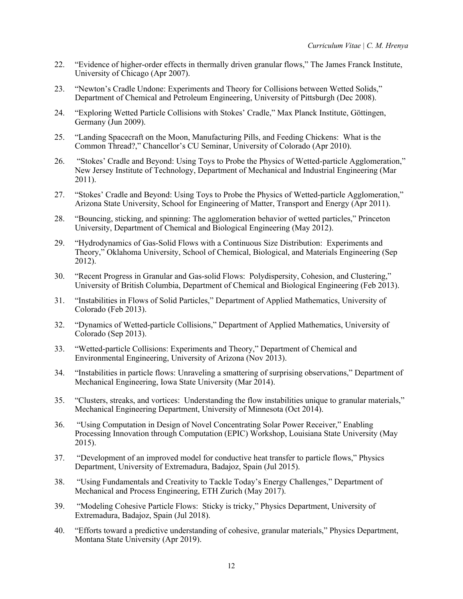- 22. "Evidence of higher-order effects in thermally driven granular flows," The James Franck Institute, University of Chicago (Apr 2007).
- 23. "Newton's Cradle Undone: Experiments and Theory for Collisions between Wetted Solids," Department of Chemical and Petroleum Engineering, University of Pittsburgh (Dec 2008).
- 24. "Exploring Wetted Particle Collisions with Stokes' Cradle," Max Planck Institute, Göttingen, Germany (Jun 2009).
- 25. "Landing Spacecraft on the Moon, Manufacturing Pills, and Feeding Chickens: What is the Common Thread?," Chancellor's CU Seminar, University of Colorado (Apr 2010).
- 26. "Stokes' Cradle and Beyond: Using Toys to Probe the Physics of Wetted-particle Agglomeration," New Jersey Institute of Technology, Department of Mechanical and Industrial Engineering (Mar 2011).
- 27. "Stokes' Cradle and Beyond: Using Toys to Probe the Physics of Wetted-particle Agglomeration," Arizona State University, School for Engineering of Matter, Transport and Energy (Apr 2011).
- 28. "Bouncing, sticking, and spinning: The agglomeration behavior of wetted particles," Princeton University, Department of Chemical and Biological Engineering (May 2012).
- 29. "Hydrodynamics of Gas-Solid Flows with a Continuous Size Distribution: Experiments and Theory," Oklahoma University, School of Chemical, Biological, and Materials Engineering (Sep 2012).
- 30. "Recent Progress in Granular and Gas-solid Flows: Polydispersity, Cohesion, and Clustering," University of British Columbia, Department of Chemical and Biological Engineering (Feb 2013).
- 31. "Instabilities in Flows of Solid Particles," Department of Applied Mathematics, University of Colorado (Feb 2013).
- 32. "Dynamics of Wetted-particle Collisions," Department of Applied Mathematics, University of Colorado (Sep 2013).
- 33. "Wetted-particle Collisions: Experiments and Theory," Department of Chemical and Environmental Engineering, University of Arizona (Nov 2013).
- 34. "Instabilities in particle flows: Unraveling a smattering of surprising observations," Department of Mechanical Engineering, Iowa State University (Mar 2014).
- 35. "Clusters, streaks, and vortices: Understanding the flow instabilities unique to granular materials," Mechanical Engineering Department, University of Minnesota (Oct 2014).
- 36. "Using Computation in Design of Novel Concentrating Solar Power Receiver," Enabling Processing Innovation through Computation (EPIC) Workshop, Louisiana State University (May 2015).
- 37. "Development of an improved model for conductive heat transfer to particle flows," Physics Department, University of Extremadura, Badajoz, Spain (Jul 2015).
- 38. "Using Fundamentals and Creativity to Tackle Today's Energy Challenges," Department of Mechanical and Process Engineering, ETH Zurich (May 2017).
- 39. "Modeling Cohesive Particle Flows: Sticky is tricky," Physics Department, University of Extremadura, Badajoz, Spain (Jul 2018).
- 40. "Efforts toward a predictive understanding of cohesive, granular materials," Physics Department, Montana State University (Apr 2019).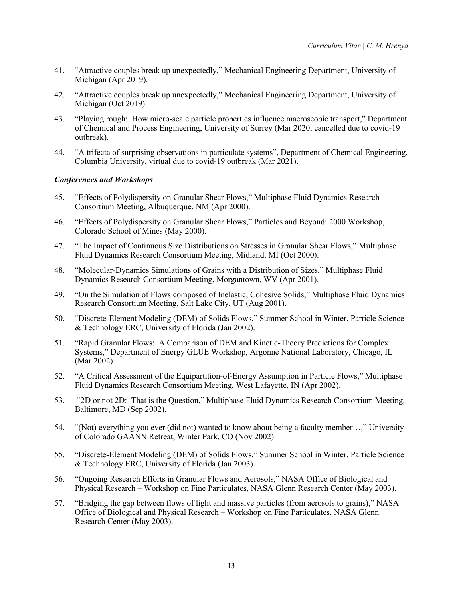- 41. "Attractive couples break up unexpectedly," Mechanical Engineering Department, University of Michigan (Apr 2019).
- 42. "Attractive couples break up unexpectedly," Mechanical Engineering Department, University of Michigan (Oct 2019).
- 43. "Playing rough: How micro-scale particle properties influence macroscopic transport," Department of Chemical and Process Engineering, University of Surrey (Mar 2020; cancelled due to covid-19 outbreak).
- 44. "A trifecta of surprising observations in particulate systems", Department of Chemical Engineering, Columbia University, virtual due to covid-19 outbreak (Mar 2021).

## *Conferences and Workshops*

- 45. "Effects of Polydispersity on Granular Shear Flows," Multiphase Fluid Dynamics Research Consortium Meeting, Albuquerque, NM (Apr 2000).
- 46. "Effects of Polydispersity on Granular Shear Flows," Particles and Beyond: 2000 Workshop, Colorado School of Mines (May 2000).
- 47. "The Impact of Continuous Size Distributions on Stresses in Granular Shear Flows," Multiphase Fluid Dynamics Research Consortium Meeting, Midland, MI (Oct 2000).
- 48. "Molecular-Dynamics Simulations of Grains with a Distribution of Sizes," Multiphase Fluid Dynamics Research Consortium Meeting, Morgantown, WV (Apr 2001).
- 49. "On the Simulation of Flows composed of Inelastic, Cohesive Solids," Multiphase Fluid Dynamics Research Consortium Meeting, Salt Lake City, UT (Aug 2001).
- 50. "Discrete-Element Modeling (DEM) of Solids Flows," Summer School in Winter, Particle Science & Technology ERC, University of Florida (Jan 2002).
- 51. "Rapid Granular Flows: A Comparison of DEM and Kinetic-Theory Predictions for Complex Systems," Department of Energy GLUE Workshop, Argonne National Laboratory, Chicago, IL (Mar 2002).
- 52. "A Critical Assessment of the Equipartition-of-Energy Assumption in Particle Flows," Multiphase Fluid Dynamics Research Consortium Meeting, West Lafayette, IN (Apr 2002).
- 53. "2D or not 2D: That is the Question," Multiphase Fluid Dynamics Research Consortium Meeting, Baltimore, MD (Sep 2002).
- 54. "(Not) everything you ever (did not) wanted to know about being a faculty member…," University of Colorado GAANN Retreat, Winter Park, CO (Nov 2002).
- 55. "Discrete-Element Modeling (DEM) of Solids Flows," Summer School in Winter, Particle Science & Technology ERC, University of Florida (Jan 2003).
- 56. "Ongoing Research Efforts in Granular Flows and Aerosols," NASA Office of Biological and Physical Research – Workshop on Fine Particulates, NASA Glenn Research Center (May 2003).
- 57. "Bridging the gap between flows of light and massive particles (from aerosols to grains)," NASA Office of Biological and Physical Research – Workshop on Fine Particulates, NASA Glenn Research Center (May 2003).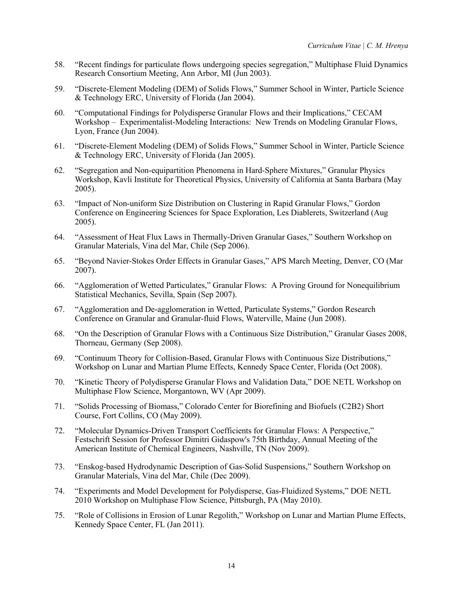- 58. "Recent findings for particulate flows undergoing species segregation," Multiphase Fluid Dynamics Research Consortium Meeting, Ann Arbor, MI (Jun 2003).
- 59. "Discrete-Element Modeling (DEM) of Solids Flows," Summer School in Winter, Particle Science & Technology ERC, University of Florida (Jan 2004).
- 60. "Computational Findings for Polydisperse Granular Flows and their Implications," CECAM Workshop – Experimentalist-Modeling Interactions: New Trends on Modeling Granular Flows, Lyon, France (Jun 2004).
- 61. "Discrete-Element Modeling (DEM) of Solids Flows," Summer School in Winter, Particle Science & Technology ERC, University of Florida (Jan 2005).
- 62. "Segregation and Non-equipartition Phenomena in Hard-Sphere Mixtures," Granular Physics Workshop, Kavli Institute for Theoretical Physics, University of California at Santa Barbara (May 2005).
- 63. "Impact of Non-uniform Size Distribution on Clustering in Rapid Granular Flows," Gordon Conference on Engineering Sciences for Space Exploration, Les Diablerets, Switzerland (Aug 2005).
- 64. "Assessment of Heat Flux Laws in Thermally-Driven Granular Gases," Southern Workshop on Granular Materials, Vina del Mar, Chile (Sep 2006).
- 65. "Beyond Navier-Stokes Order Effects in Granular Gases," APS March Meeting, Denver, CO (Mar 2007).
- 66. "Agglomeration of Wetted Particulates," Granular Flows: A Proving Ground for Nonequilibrium Statistical Mechanics, Sevilla, Spain (Sep 2007).
- 67. "Agglomeration and De-agglomeration in Wetted, Particulate Systems," Gordon Research Conference on Granular and Granular-fluid Flows, Waterville, Maine (Jun 2008).
- 68. "On the Description of Granular Flows with a Continuous Size Distribution," Granular Gases 2008, Thorneau, Germany (Sep 2008).
- 69. "Continuum Theory for Collision-Based, Granular Flows with Continuous Size Distributions," Workshop on Lunar and Martian Plume Effects, Kennedy Space Center, Florida (Oct 2008).
- 70. "Kinetic Theory of Polydisperse Granular Flows and Validation Data," DOE NETL Workshop on Multiphase Flow Science, Morgantown, WV (Apr 2009).
- 71. "Solids Processing of Biomass," Colorado Center for Biorefining and Biofuels (C2B2) Short Course, Fort Collins, CO (May 2009).
- 72. "Molecular Dynamics-Driven Transport Coefficients for Granular Flows: A Perspective," Festschrift Session for Professor Dimitri Gidaspow's 75th Birthday, Annual Meeting of the American Institute of Chemical Engineers, Nashville, TN (Nov 2009).
- 73. "Enskog-based Hydrodynamic Description of Gas-Solid Suspensions," Southern Workshop on Granular Materials, Vina del Mar, Chile (Dec 2009).
- 74. "Experiments and Model Development for Polydisperse, Gas-Fluidized Systems," DOE NETL 2010 Workshop on Multiphase Flow Science, Pittsburgh, PA (May 2010).
- 75. "Role of Collisions in Erosion of Lunar Regolith," Workshop on Lunar and Martian Plume Effects, Kennedy Space Center, FL (Jan 2011).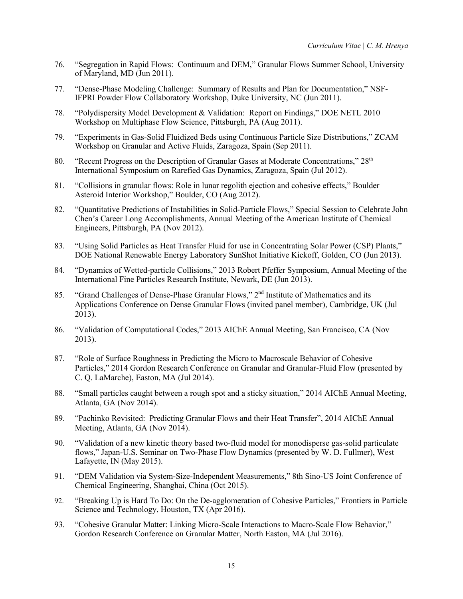- 76. "Segregation in Rapid Flows: Continuum and DEM," Granular Flows Summer School, University of Maryland, MD (Jun 2011).
- 77. "Dense-Phase Modeling Challenge: Summary of Results and Plan for Documentation," NSF-IFPRI Powder Flow Collaboratory Workshop, Duke University, NC (Jun 2011).
- 78. "Polydispersity Model Development & Validation: Report on Findings," DOE NETL 2010 Workshop on Multiphase Flow Science, Pittsburgh, PA (Aug 2011).
- 79. "Experiments in Gas-Solid Fluidized Beds using Continuous Particle Size Distributions," ZCAM Workshop on Granular and Active Fluids, Zaragoza, Spain (Sep 2011).
- 80. "Recent Progress on the Description of Granular Gases at Moderate Concentrations,"  $28<sup>th</sup>$ International Symposium on Rarefied Gas Dynamics, Zaragoza, Spain (Jul 2012).
- 81. "Collisions in granular flows: Role in lunar regolith ejection and cohesive effects," Boulder Asteroid Interior Workshop," Boulder, CO (Aug 2012).
- 82. "Quantitative Predictions of Instabilities in Solid-Particle Flows," Special Session to Celebrate John Chen's Career Long Accomplishments, Annual Meeting of the American Institute of Chemical Engineers, Pittsburgh, PA (Nov 2012).
- 83. "Using Solid Particles as Heat Transfer Fluid for use in Concentrating Solar Power (CSP) Plants," DOE National Renewable Energy Laboratory SunShot Initiative Kickoff, Golden, CO (Jun 2013).
- 84. "Dynamics of Wetted-particle Collisions," 2013 Robert Pfeffer Symposium, Annual Meeting of the International Fine Particles Research Institute, Newark, DE (Jun 2013).
- 85. "Grand Challenges of Dense-Phase Granular Flows," 2<sup>nd</sup> Institute of Mathematics and its Applications Conference on Dense Granular Flows (invited panel member), Cambridge, UK (Jul 2013).
- 86. "Validation of Computational Codes," 2013 AIChE Annual Meeting, San Francisco, CA (Nov 2013).
- 87. "Role of Surface Roughness in Predicting the Micro to Macroscale Behavior of Cohesive Particles," 2014 Gordon Research Conference on Granular and Granular-Fluid Flow (presented by C. Q. LaMarche), Easton, MA (Jul 2014).
- 88. "Small particles caught between a rough spot and a sticky situation," 2014 AIChE Annual Meeting, Atlanta, GA (Nov 2014).
- 89. "Pachinko Revisited: Predicting Granular Flows and their Heat Transfer", 2014 AIChE Annual Meeting, Atlanta, GA (Nov 2014).
- 90. "Validation of a new kinetic theory based two-fluid model for monodisperse gas-solid particulate flows," Japan-U.S. Seminar on Two-Phase Flow Dynamics (presented by W. D. Fullmer), West Lafayette, IN (May 2015).
- 91. "DEM Validation via System-Size-Independent Measurements," 8th Sino-US Joint Conference of Chemical Engineering, Shanghai, China (Oct 2015).
- 92. "Breaking Up is Hard To Do: On the De-agglomeration of Cohesive Particles," Frontiers in Particle Science and Technology, Houston, TX (Apr 2016).
- 93. "Cohesive Granular Matter: Linking Micro-Scale Interactions to Macro-Scale Flow Behavior," Gordon Research Conference on Granular Matter, North Easton, MA (Jul 2016).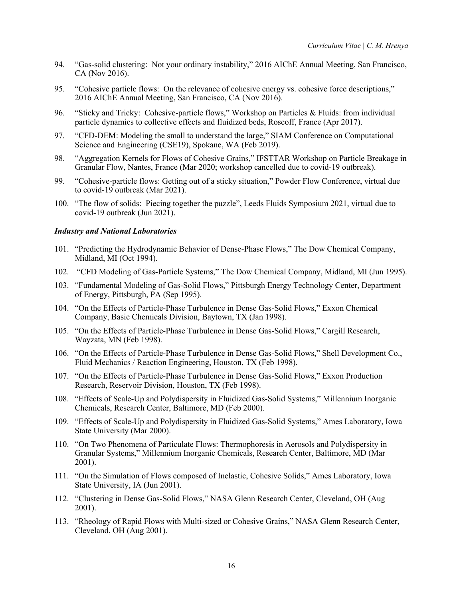- 94. "Gas-solid clustering: Not your ordinary instability," 2016 AIChE Annual Meeting, San Francisco, CA (Nov 2016).
- 95. "Cohesive particle flows: On the relevance of cohesive energy vs. cohesive force descriptions," 2016 AIChE Annual Meeting, San Francisco, CA (Nov 2016).
- 96. "Sticky and Tricky: Cohesive-particle flows," Workshop on Particles & Fluids: from individual particle dynamics to collective effects and fluidized beds, Roscoff, France (Apr 2017).
- 97. "CFD-DEM: Modeling the small to understand the large," SIAM Conference on Computational Science and Engineering (CSE19), Spokane, WA (Feb 2019).
- 98. "Aggregation Kernels for Flows of Cohesive Grains," IFSTTAR Workshop on Particle Breakage in Granular Flow, Nantes, France (Mar 2020; workshop cancelled due to covid-19 outbreak).
- 99. "Cohesive-particle flows: Getting out of a sticky situation," Powder Flow Conference, virtual due to covid-19 outbreak (Mar 2021).
- 100. "The flow of solids: Piecing together the puzzle", Leeds Fluids Symposium 2021, virtual due to covid-19 outbreak (Jun 2021).

### *Industry and National Laboratories*

- 101. "Predicting the Hydrodynamic Behavior of Dense-Phase Flows," The Dow Chemical Company, Midland, MI (Oct 1994).
- 102. "CFD Modeling of Gas-Particle Systems," The Dow Chemical Company, Midland, MI (Jun 1995).
- 103. "Fundamental Modeling of Gas-Solid Flows," Pittsburgh Energy Technology Center, Department of Energy, Pittsburgh, PA (Sep 1995).
- 104. "On the Effects of Particle-Phase Turbulence in Dense Gas-Solid Flows," Exxon Chemical Company, Basic Chemicals Division, Baytown, TX (Jan 1998).
- 105. "On the Effects of Particle-Phase Turbulence in Dense Gas-Solid Flows," Cargill Research, Wayzata, MN (Feb 1998).
- 106. "On the Effects of Particle-Phase Turbulence in Dense Gas-Solid Flows," Shell Development Co., Fluid Mechanics / Reaction Engineering, Houston, TX (Feb 1998).
- 107. "On the Effects of Particle-Phase Turbulence in Dense Gas-Solid Flows," Exxon Production Research, Reservoir Division, Houston, TX (Feb 1998).
- 108. "Effects of Scale-Up and Polydispersity in Fluidized Gas-Solid Systems," Millennium Inorganic Chemicals, Research Center, Baltimore, MD (Feb 2000).
- 109. "Effects of Scale-Up and Polydispersity in Fluidized Gas-Solid Systems," Ames Laboratory, Iowa State University (Mar 2000).
- 110. "On Two Phenomena of Particulate Flows: Thermophoresis in Aerosols and Polydispersity in Granular Systems," Millennium Inorganic Chemicals, Research Center, Baltimore, MD (Mar 2001).
- 111. "On the Simulation of Flows composed of Inelastic, Cohesive Solids," Ames Laboratory, Iowa State University, IA (Jun 2001).
- 112. "Clustering in Dense Gas-Solid Flows," NASA Glenn Research Center, Cleveland, OH (Aug 2001).
- 113. "Rheology of Rapid Flows with Multi-sized or Cohesive Grains," NASA Glenn Research Center, Cleveland, OH (Aug 2001).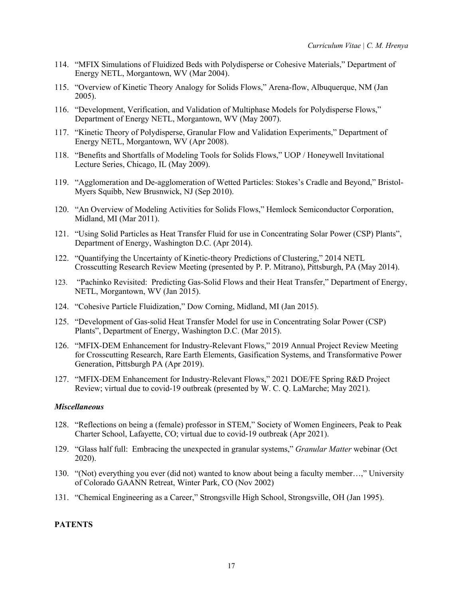- 114. "MFIX Simulations of Fluidized Beds with Polydisperse or Cohesive Materials," Department of Energy NETL, Morgantown, WV (Mar 2004).
- 115. "Overview of Kinetic Theory Analogy for Solids Flows," Arena-flow, Albuquerque, NM (Jan 2005).
- 116. "Development, Verification, and Validation of Multiphase Models for Polydisperse Flows," Department of Energy NETL, Morgantown, WV (May 2007).
- 117. "Kinetic Theory of Polydisperse, Granular Flow and Validation Experiments," Department of Energy NETL, Morgantown, WV (Apr 2008).
- 118. "Benefits and Shortfalls of Modeling Tools for Solids Flows," UOP / Honeywell Invitational Lecture Series, Chicago, IL (May 2009).
- 119. "Agglomeration and De-agglomeration of Wetted Particles: Stokes's Cradle and Beyond," Bristol-Myers Squibb, New Brusnwick, NJ (Sep 2010).
- 120. "An Overview of Modeling Activities for Solids Flows," Hemlock Semiconductor Corporation, Midland, MI (Mar 2011).
- 121. "Using Solid Particles as Heat Transfer Fluid for use in Concentrating Solar Power (CSP) Plants", Department of Energy, Washington D.C. (Apr 2014).
- 122. "Quantifying the Uncertainty of Kinetic-theory Predictions of Clustering," 2014 NETL Crosscutting Research Review Meeting (presented by P. P. Mitrano), Pittsburgh, PA (May 2014).
- 123. "Pachinko Revisited: Predicting Gas-Solid Flows and their Heat Transfer," Department of Energy, NETL, Morgantown, WV (Jan 2015).
- 124. "Cohesive Particle Fluidization," Dow Corning, Midland, MI (Jan 2015).
- 125. "Development of Gas-solid Heat Transfer Model for use in Concentrating Solar Power (CSP) Plants", Department of Energy, Washington D.C. (Mar 2015).
- 126. "MFIX-DEM Enhancement for Industry-Relevant Flows," 2019 Annual Project Review Meeting for Crosscutting Research, Rare Earth Elements, Gasification Systems, and Transformative Power Generation, Pittsburgh PA (Apr 2019).
- 127. "MFIX-DEM Enhancement for Industry-Relevant Flows," 2021 DOE/FE Spring R&D Project Review; virtual due to covid-19 outbreak (presented by W. C. Q. LaMarche; May 2021).

#### *Miscellaneous*

- 128. "Reflections on being a (female) professor in STEM," Society of Women Engineers, Peak to Peak Charter School, Lafayette, CO; virtual due to covid-19 outbreak (Apr 2021).
- 129. "Glass half full: Embracing the unexpected in granular systems," *Granular Matter* webinar (Oct 2020).
- 130. "(Not) everything you ever (did not) wanted to know about being a faculty member…," University of Colorado GAANN Retreat, Winter Park, CO (Nov 2002)
- 131. "Chemical Engineering as a Career," Strongsville High School, Strongsville, OH (Jan 1995).

## **PATENTS**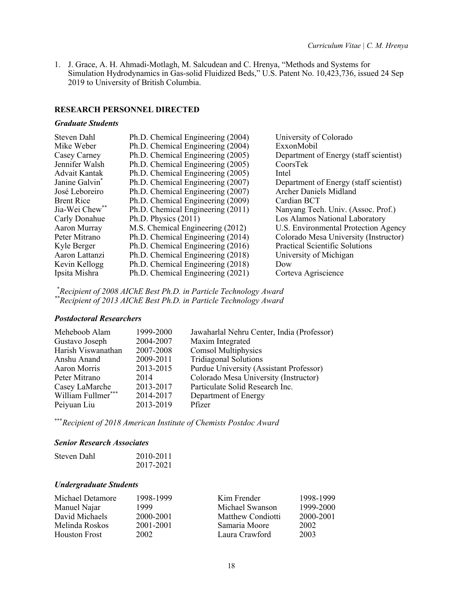1. J. Grace, A. H. Ahmadi-Motlagh, M. Salcudean and C. Hrenya, "Methods and Systems for Simulation Hydrodynamics in Gas-solid Fluidized Beds," U.S. Patent No. 10,423,736, issued 24 Sep 2019 to University of British Columbia.

#### **RESEARCH PERSONNEL DIRECTED**

#### *Graduate Students*

| Steven Dahl                | Ph.D. Chemical Engineering (2004) | University of Colorado                 |
|----------------------------|-----------------------------------|----------------------------------------|
| Mike Weber                 | Ph.D. Chemical Engineering (2004) | ExxonMobil                             |
| Casey Carney               | Ph.D. Chemical Engineering (2005) | Department of Energy (staff scientist) |
| Jennifer Walsh             | Ph.D. Chemical Engineering (2005) | CoorsTek                               |
| <b>Advait Kantak</b>       | Ph.D. Chemical Engineering (2005) | Intel                                  |
| Janine Galvin <sup>®</sup> | Ph.D. Chemical Engineering (2007) | Department of Energy (staff scientist) |
| José Leboreiro             | Ph.D. Chemical Engineering (2007) | <b>Archer Daniels Midland</b>          |
| <b>Brent Rice</b>          | Ph.D. Chemical Engineering (2009) | Cardian BCT                            |
| Jia-Wei Chew**             | Ph.D. Chemical Engineering (2011) | Nanyang Tech. Univ. (Assoc. Prof.)     |
| Carly Donahue              | Ph.D. Physics $(2011)$            | Los Alamos National Laboratory         |
| Aaron Murray               | M.S. Chemical Engineering (2012)  | U.S. Environmental Protection Agency   |
| Peter Mitrano              | Ph.D. Chemical Engineering (2014) | Colorado Mesa University (Instructor)  |
| Kyle Berger                | Ph.D. Chemical Engineering (2016) | <b>Practical Scientific Solutions</b>  |
| Aaron Lattanzi             | Ph.D. Chemical Engineering (2018) | University of Michigan                 |
| Kevin Kellogg              | Ph.D. Chemical Engineering (2018) | Dow                                    |
| Ipsita Mishra              | Ph.D. Chemical Engineering (2021) | Corteva Agriscience                    |

\* *Recipient of 2008 AIChE Best Ph.D. in Particle Technology Award \*\*Recipient of 2013 AIChE Best Ph.D. in Particle Technology Award*

#### *Postdoctoral Researchers*

| Meheboob Alam      | 1999-2000 | Jawaharlal Nehru Center, India (Professor) |
|--------------------|-----------|--------------------------------------------|
| Gustavo Joseph     | 2004-2007 | Maxim Integrated                           |
| Harish Viswanathan | 2007-2008 | <b>Comsol Multiphysics</b>                 |
| Anshu Anand        | 2009-2011 | <b>Tridiagonal Solutions</b>               |
| Aaron Morris       | 2013-2015 | Purdue University (Assistant Professor)    |
| Peter Mitrano      | 2014      | Colorado Mesa University (Instructor)      |
| Casey LaMarche     | 2013-2017 | Particulate Solid Research Inc.            |
| William Fullmer*** | 2014-2017 | Department of Energy                       |
| Peiyuan Liu        | 2013-2019 | Pfizer                                     |

\*\*\**Recipient of 2018 American Institute of Chemists Postdoc Award*

## *Senior Research Associates*

| Steven Dahl | 2010-2011 |
|-------------|-----------|
|             | 2017-2021 |

### *Undergraduate Students*

| Michael Detamore     | 1998-1999 | Kim Frender       | 1998-1999 |
|----------------------|-----------|-------------------|-----------|
| Manuel Najar         | 1999      | Michael Swanson   | 1999-2000 |
| David Michaels       | 2000-2001 | Matthew Condiotti | 2000-2001 |
| Melinda Roskos       | 2001-2001 | Samaria Moore     | 2002      |
| <b>Houston Frost</b> | 2002      | Laura Crawford    | 2003      |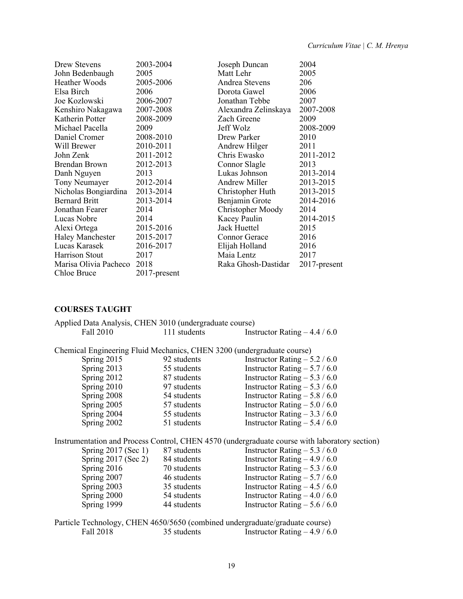| Drew Stevens            | 2003-2004    | Joseph Duncan            | 2004            |
|-------------------------|--------------|--------------------------|-----------------|
|                         |              |                          |                 |
| John Bedenbaugh         | 2005         | Matt Lehr                | 2005            |
| Heather Woods           | 2005-2006    | Andrea Stevens           | 206             |
| Elsa Birch              | 2006         | Dorota Gawel             | 2006            |
| Joe Kozlowski           | 2006-2007    | Jonathan Tebbe           | 2007            |
| Kenshiro Nakagawa       | 2007-2008    | Alexandra Zelinskaya     | 2007-2008       |
| Katherin Potter         | 2008-2009    | Zach Greene              | 2009            |
| Michael Pacella         | 2009         | Jeff Wolz                | 2008-2009       |
| Daniel Cromer           | 2008-2010    | Drew Parker              | 2010            |
| Will Brewer             | 2010-2011    | Andrew Hilger            | 2011            |
| John Zenk               | 2011-2012    | Chris Ewasko             | 2011-2012       |
| <b>Brendan Brown</b>    | 2012-2013    | Connor Slagle            | 2013            |
| Danh Nguyen             | 2013         | Lukas Johnson            | 2013-2014       |
| Tony Neumayer           | 2012-2014    | <b>Andrew Miller</b>     | 2013-2015       |
| Nicholas Bongiardina    | 2013-2014    | Christopher Huth         | 2013-2015       |
| <b>Bernard Britt</b>    | 2013-2014    | Benjamin Grote           | 2014-2016       |
| Jonathan Fearer         | 2014         | <b>Christopher Moody</b> | 2014            |
| Lucas Nobre             | 2014         | Kacey Paulin             | 2014-2015       |
| Alexi Ortega            | 2015-2016    | Jack Huettel             | 2015            |
| <b>Haley Manchester</b> | 2015-2017    | <b>Connor Gerace</b>     | 2016            |
| Lucas Karasek           | 2016-2017    | Elijah Holland           | 2016            |
| Harrison Stout          | 2017         | Maia Lentz               | 2017            |
| Marisa Olivia Pacheco   | 2018         | Raka Ghosh-Dastidar      | $2017$ -present |
| Chloe Bruce             | 2017-present |                          |                 |

# **COURSES TAUGHT**

| Applied Data Analysis, CHEN 3010 (undergraduate course)                |              |                                                                                               |
|------------------------------------------------------------------------|--------------|-----------------------------------------------------------------------------------------------|
| Fall 2010                                                              | 111 students | Instructor Rating $-4.4/6.0$                                                                  |
| Chemical Engineering Fluid Mechanics, CHEN 3200 (undergraduate course) |              |                                                                                               |
| Spring 2015                                                            | 92 students  | Instructor Rating $-5.2/6.0$                                                                  |
| Spring 2013                                                            | 55 students  | Instructor Rating $-5.7/6.0$                                                                  |
| Spring 2012                                                            | 87 students  | Instructor Rating $-5.3/6.0$                                                                  |
| Spring 2010                                                            | 97 students  | Instructor Rating $-5.3/6.0$                                                                  |
| Spring 2008                                                            | 54 students  | Instructor Rating $-5.8/6.0$                                                                  |
| Spring 2005                                                            | 57 students  | Instructor Rating $-5.0/6.0$                                                                  |
| Spring 2004                                                            | 55 students  | Instructor Rating $-3.3/6.0$                                                                  |
| Spring 2002                                                            | 51 students  | Instructor Rating $-5.4/6.0$                                                                  |
|                                                                        |              | Instrumentation and Process Control, CHEN 4570 (undergraduate course with laboratory section) |
| Spring $2017$ (Sec 1)                                                  | 87 students  | Instructor Rating $-5.3/6.0$                                                                  |
| Spring $2017$ (Sec 2) 84 students                                      |              | Instructor Rating $-4.9/6.0$                                                                  |
| Spring 2016                                                            | 70 students  | Instructor Rating $-5.3/6.0$                                                                  |
| Spring 2007                                                            | 46 students  | Instructor Rating $-5.7/6.0$                                                                  |
| Spring 2003                                                            | 35 students  | Instructor Rating $-4.5/6.0$                                                                  |
| Spring 2000                                                            | 54 students  | Instructor Rating $-4.0/6.0$                                                                  |
| Spring 1999                                                            | 44 students  | Instructor Rating $-5.6/6.0$                                                                  |
|                                                                        |              | Particle Technology, CHEN 4650/5650 (combined undergraduate/graduate course)                  |
| Fall 2018                                                              | 35 students  | Instructor Rating $-4.9/6.0$                                                                  |